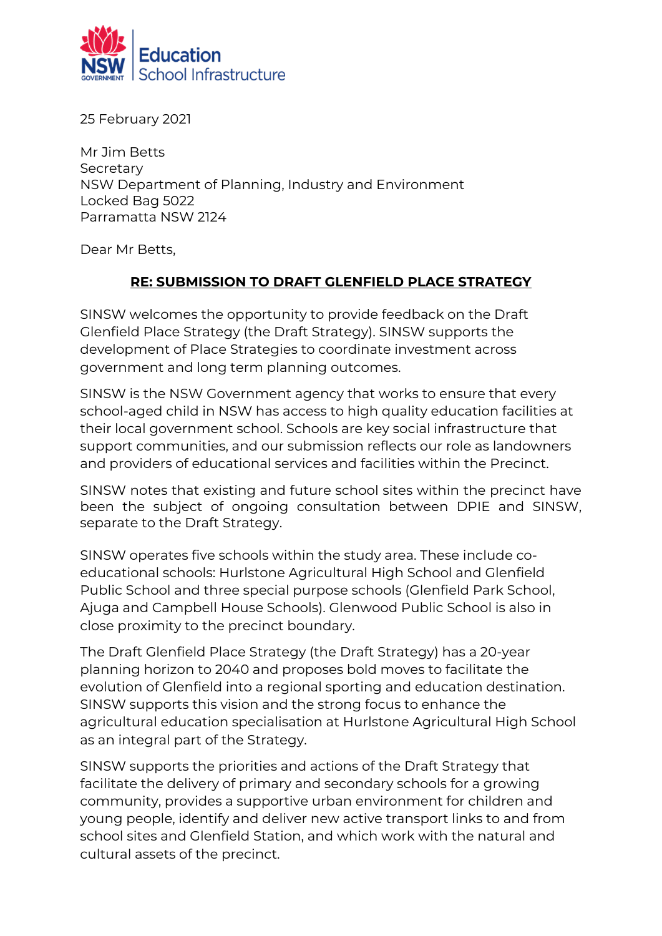

25 February 2021

Mr Jim Betts **Secretary** NSW Department of Planning, Industry and Environment Locked Bag 5022 Parramatta NSW 2124

Dear Mr Betts,

## **RE: SUBMISSION TO DRAFT GLENFIELD PLACE STRATEGY**

SINSW welcomes the opportunity to provide feedback on the Draft Glenfield Place Strategy (the Draft Strategy). SINSW supports the development of Place Strategies to coordinate investment across government and long term planning outcomes.

SINSW is the NSW Government agency that works to ensure that every school-aged child in NSW has access to high quality education facilities at their local government school. Schools are key social infrastructure that support communities, and our submission reflects our role as landowners and providers of educational services and facilities within the Precinct.

SINSW notes that existing and future school sites within the precinct have been the subject of ongoing consultation between DPIE and SINSW, separate to the Draft Strategy.

SINSW operates five schools within the study area. These include coeducational schools: Hurlstone Agricultural High School and Glenfield Public School and three special purpose schools (Glenfield Park School, Ajuga and Campbell House Schools). Glenwood Public School is also in close proximity to the precinct boundary.

The Draft Glenfield Place Strategy (the Draft Strategy) has a 20-year planning horizon to 2040 and proposes bold moves to facilitate the evolution of Glenfield into a regional sporting and education destination. SINSW supports this vision and the strong focus to enhance the agricultural education specialisation at Hurlstone Agricultural High School as an integral part of the Strategy.

SINSW supports the priorities and actions of the Draft Strategy that facilitate the delivery of primary and secondary schools for a growing community, provides a supportive urban environment for children and young people, identify and deliver new active transport links to and from school sites and Glenfield Station, and which work with the natural and cultural assets of the precinct.